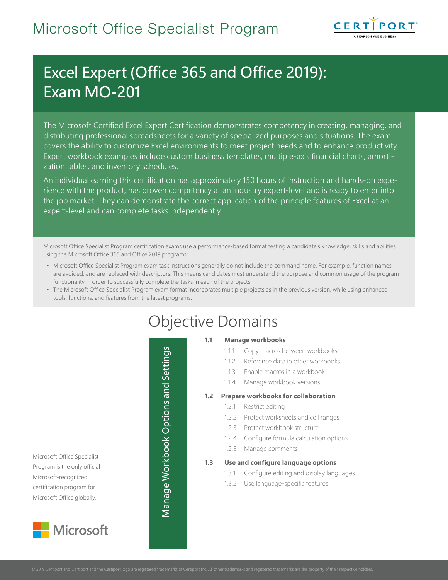

# Excel Expert (Office 365 and Office 2019): Exam MO-201

The Microsoft Certified Excel Expert Certification demonstrates competency in creating, managing, and distributing professional spreadsheets for a variety of specialized purposes and situations. The exam covers the ability to customize Excel environments to meet project needs and to enhance productivity. Expert workbook examples include custom business templates, multiple-axis financial charts, amortization tables, and inventory schedules.

An individual earning this certification has approximately 150 hours of instruction and hands-on experience with the product, has proven competency at an industry expert-level and is ready to enter into the job market. They can demonstrate the correct application of the principle features of Excel at an expert-level and can complete tasks independently.

Microsoft Office Specialist Program certification exams use a performance-based format testing a candidate's knowledge, skills and abilities using the Microsoft Office 365 and Office 2019 programs:

- Microsoft Office Specialist Program exam task instructions generally do not include the command name. For example, function names are avoided, and are replaced with descriptors. This means candidates must understand the purpose and common usage of the program functionality in order to successfully complete the tasks in each of the projects.
- The Microsoft Office Specialist Program exam format incorporates multiple projects as in the previous version, while using enhanced tools, functions, and features from the latest programs.

Microsoft Office Specialist Program is the only official Microsoft-recognized certification program for Microsoft Office globally.



# Objective Domains

 $\frac{5}{2}$ Worksheets

 $\overline{\mathbf{P}}$ 

Manage Workbook Options and Settings

and

#### **1.1 Manage workbooks**

- 1.1.1 Copy macros between workbooks
- 1.1.2 Reference data in other workbooks
- 1.1.3 Enable macros in a workbook
- 1.1.4 Manage workbook versions

#### **1.2 Prepare workbooks for collaboration**

- 1.2.1 Restrict editing
- 1.2.2 Protect worksheets and cell ranges
- 1.2.3 Protect workbook structure
- 1.2.4 Configure formula calculation options
- 1.2.5 Manage comments

#### **1.3 Use and configure language options**

- 1.3.1 Configure editing and display languages
- 1.3.2 Use language-specific features